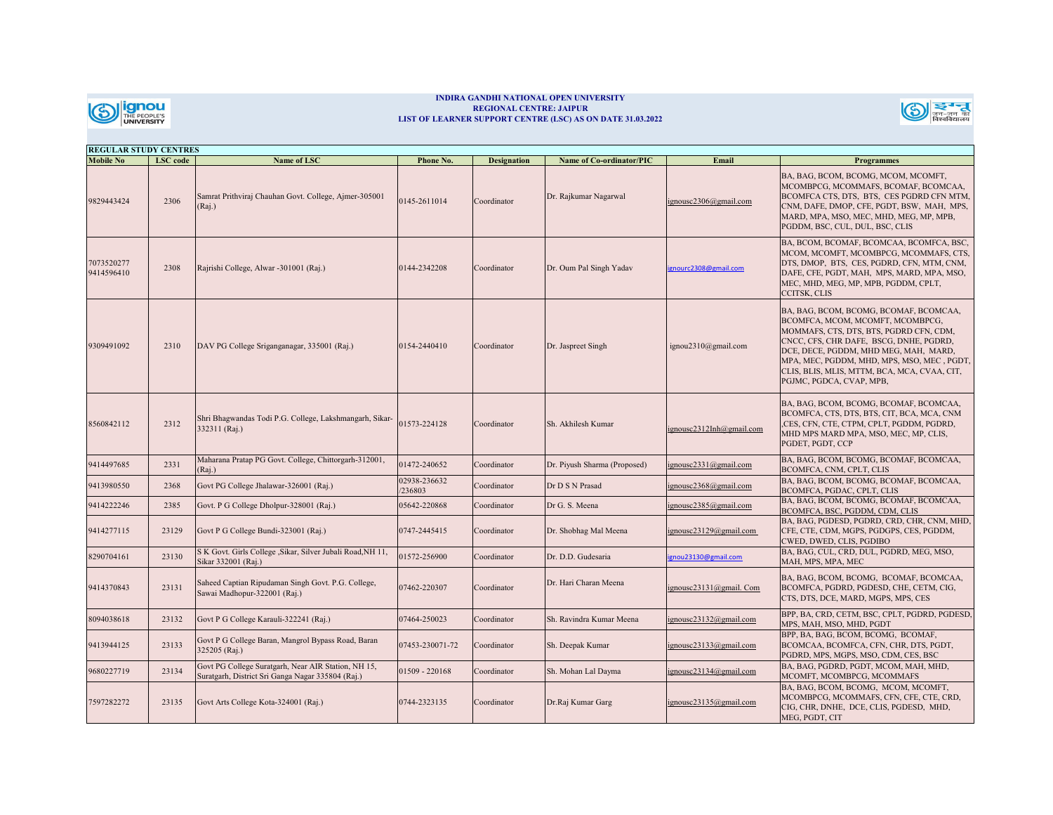

## **INDIRA GANDHI NATIONAL OPEN UNIVERSITY REGIONAL CENTRE: JAIPUR LIST OF LEARNER SUPPORT CENTRE (LSC) AS ON DATE 31.03.2022**



| <b>REGULAR STUDY CENTRES</b> |          |                                                                                                          |                        |                    |                              |                          |                                                                                                                                                                                                                                                                                                                                     |  |
|------------------------------|----------|----------------------------------------------------------------------------------------------------------|------------------------|--------------------|------------------------------|--------------------------|-------------------------------------------------------------------------------------------------------------------------------------------------------------------------------------------------------------------------------------------------------------------------------------------------------------------------------------|--|
| <b>Mobile No</b>             | LSC code | Name of LSC                                                                                              | Phone No.              | <b>Designation</b> | Name of Co-ordinator/PIC     | Email                    | <b>Programmes</b>                                                                                                                                                                                                                                                                                                                   |  |
| 9829443424                   | 2306     | Samrat Prithviraj Chauhan Govt. College, Ajmer-305001<br>(Rai.)                                          | 0145-2611014           | Coordinator        | Dr. Rajkumar Nagarwal        | ignousc2306@gmail.com    | BA, BAG, BCOM, BCOMG, MCOM, MCOMFT,<br>MCOMBPCG, MCOMMAFS, BCOMAF, BCOMCAA,<br>BCOMFCA CTS, DTS, BTS, CES PGDRD CFN MTM,<br>CNM, DAFE, DMOP, CFE, PGDT, BSW, MAH, MPS,<br>MARD, MPA, MSO, MEC, MHD, MEG, MP, MPB,<br>PGDDM, BSC, CUL, DUL, BSC, CLIS                                                                                |  |
| 7073520277<br>9414596410     | 2308     | Rajrishi College, Alwar -301001 (Raj.)                                                                   | 0144-2342208           | Coordinator        | Dr. Oum Pal Singh Yadav      | ignourc2308@gmail.com    | BA, BCOM, BCOMAF, BCOMCAA, BCOMFCA, BSC,<br>MCOM, MCOMFT, MCOMBPCG, MCOMMAFS, CTS,<br>DTS, DMOP, BTS, CES, PGDRD, CFN, MTM, CNM,<br>DAFE, CFE, PGDT, MAH, MPS, MARD, MPA, MSO,<br>MEC, MHD, MEG, MP, MPB, PGDDM, CPLT,<br>CCITSK, CLIS                                                                                              |  |
| 9309491092                   | 2310     | DAV PG College Sriganganagar, 335001 (Raj.)                                                              | 0154-2440410           | Coordinator        | Dr. Jaspreet Singh           | ignou2310@gmail.com      | BA, BAG, BCOM, BCOMG, BCOMAF, BCOMCAA,<br>BCOMFCA, MCOM, MCOMFT, MCOMBPCG,<br>MOMMAFS, CTS, DTS, BTS, PGDRD CFN, CDM,<br>CNCC, CFS, CHR DAFE, BSCG, DNHE, PGDRD,<br>DCE, DECE, PGDDM, MHD MEG, MAH, MARD,<br>MPA, MEC, PGDDM, MHD, MPS, MSO, MEC, PGDT,<br>CLIS, BLIS, MLIS, MTTM, BCA, MCA, CVAA, CIT,<br>PGJMC, PGDCA, CVAP, MPB, |  |
| 8560842112                   | 2312     | Shri Bhagwandas Todi P.G. College, Lakshmangarh, Sikar-<br>332311 (Raj.)                                 | 1573-224128            | Coordinator        | Sh. Akhilesh Kumar           | ignousc2312Inh@gmail.com | BA, BAG, BCOM, BCOMG, BCOMAF, BCOMCAA,<br>BCOMFCA, CTS, DTS, BTS, CIT, BCA, MCA, CNM<br>,CES, CFN, CTE, CTPM, CPLT, PGDDM, PGDRD,<br>MHD MPS MARD MPA, MSO, MEC, MP, CLIS,<br>PGDET, PGDT, CCP                                                                                                                                      |  |
| 9414497685                   | 2331     | Maharana Pratap PG Govt. College, Chittorgarh-312001,<br>(Rai.)                                          | 1472-240652            | Coordinator        | Dr. Piyush Sharma (Proposed) | ignousc2331@gmail.com    | BA, BAG, BCOM, BCOMG, BCOMAF, BCOMCAA,<br>BCOMFCA, CNM, CPLT, CLIS                                                                                                                                                                                                                                                                  |  |
| 9413980550                   | 2368     | Govt PG College Jhalawar-326001 (Raj.)                                                                   | 02938-236632<br>236803 | Coordinator        | Dr D S N Prasad              | gnousc2368@gmail.com     | BA, BAG, BCOM, BCOMG, BCOMAF, BCOMCAA,<br>BCOMFCA, PGDAC, CPLT, CLIS                                                                                                                                                                                                                                                                |  |
| 9414222246                   | 2385     | Govt. P G College Dholpur-328001 (Raj.)                                                                  | 05642-220868           | Coordinator        | Dr G. S. Meena               | ignousc2385@gmail.com    | BA, BAG, BCOM, BCOMG, BCOMAF, BCOMCAA,<br>BCOMFCA, BSC, PGDDM, CDM, CLIS                                                                                                                                                                                                                                                            |  |
| 9414277115                   | 23129    | Govt P G College Bundi-323001 (Raj.)                                                                     | 0747-2445415           | Coordinator        | Dr. Shobhag Mal Meena        | ignousc23129@gmail.com   | BA, BAG, PGDESD, PGDRD, CRD, CHR, CNM, MHD,<br>CFE, CTE, CDM, MGPS, PGDGPS, CES, PGDDM,<br>CWED, DWED, CLIS, PGDIBO                                                                                                                                                                                                                 |  |
| 8290704161                   | 23130    | S K Govt. Girls College , Sikar, Silver Jubali Road, NH 11,<br>Sikar 332001 (Raj.)                       | 01572-256900           | Coordinator        | Dr. D.D. Gudesaria           | gnou23130@gmail.com      | BA, BAG, CUL, CRD, DUL, PGDRD, MEG, MSO,<br>MAH, MPS, MPA, MEC                                                                                                                                                                                                                                                                      |  |
| 9414370843                   | 23131    | Saheed Captian Ripudaman Singh Govt. P.G. College,<br>Sawai Madhopur-322001 (Raj.)                       | 07462-220307           | Coordinator        | Dr. Hari Charan Meena        | ignousc23131@gmail. Com  | BA, BAG, BCOM, BCOMG, BCOMAF, BCOMCAA,<br>BCOMFCA, PGDRD, PGDESD, CHE, CETM, CIG,<br>CTS, DTS, DCE, MARD, MGPS, MPS, CES                                                                                                                                                                                                            |  |
| 8094038618                   | 23132    | Govt P G College Karauli-322241 (Raj.)                                                                   | 07464-250023           | Coordinator        | Sh. Ravindra Kumar Meena     | ignousc23132@gmail.com   | BPP, BA, CRD, CETM, BSC, CPLT, PGDRD, PGDESD,<br>MPS, MAH, MSO, MHD, PGDT                                                                                                                                                                                                                                                           |  |
| 9413944125                   | 23133    | Govt P G College Baran, Mangrol Bypass Road, Baran<br>325205 (Raj.)                                      | 07453-230071-72        | Coordinator        | Sh. Deepak Kumar             | ignousc23133@gmail.com   | BPP, BA, BAG, BCOM, BCOMG, BCOMAF,<br>BCOMCAA, BCOMFCA, CFN, CHR, DTS, PGDT,<br>PGDRD, MPS, MGPS, MSO, CDM, CES, BSC                                                                                                                                                                                                                |  |
| 9680227719                   | 23134    | Govt PG College Suratgarh, Near AIR Station, NH 15,<br>Suratgarh, District Sri Ganga Nagar 335804 (Raj.) | 1509 - 220168          | Coordinator        | Sh. Mohan Lal Dayma          | gnousc23134@gmail.com    | BA, BAG, PGDRD, PGDT, MCOM, MAH, MHD,<br>MCOMFT, MCOMBPCG, MCOMMAFS                                                                                                                                                                                                                                                                 |  |
| 7597282272                   | 23135    | Govt Arts College Kota-324001 (Raj.)                                                                     | 0744-2323135           | Coordinator        | Dr.Raj Kumar Garg            | ignousc23135@gmail.com   | BA, BAG, BCOM, BCOMG, MCOM, MCOMFT,<br>MCOMBPCG, MCOMMAFS, CFN, CFE, CTE, CRD,<br>CIG, CHR, DNHE, DCE, CLIS, PGDESD, MHD,<br>MEG, PGDT, CIT                                                                                                                                                                                         |  |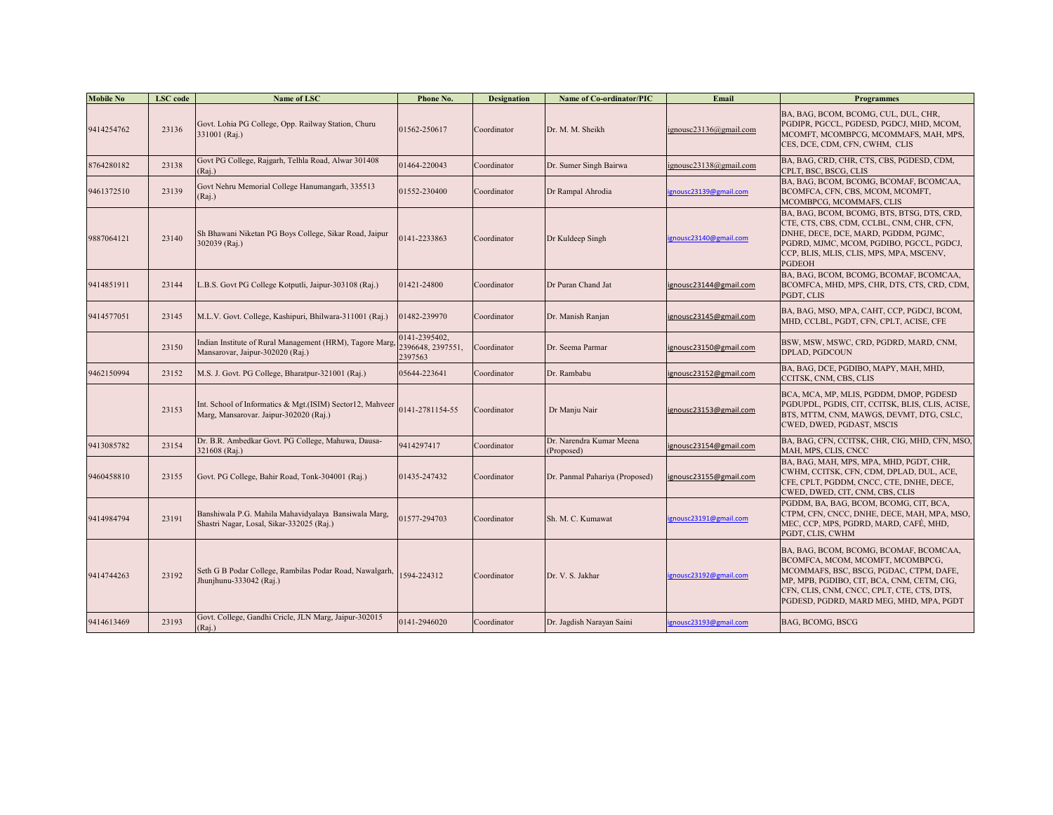| <b>Mobile No</b> | LSC code | Name of LSC                                                                                         | <b>Phone No.</b>                              | <b>Designation</b> | <b>Name of Co-ordinator/PIC</b>        | Email                  | <b>Programmes</b>                                                                                                                                                                                                                                            |
|------------------|----------|-----------------------------------------------------------------------------------------------------|-----------------------------------------------|--------------------|----------------------------------------|------------------------|--------------------------------------------------------------------------------------------------------------------------------------------------------------------------------------------------------------------------------------------------------------|
| 9414254762       | 23136    | Govt. Lohia PG College, Opp. Railway Station, Churu<br>331001 (Raj.)                                | 01562-250617                                  | Coordinator        | Dr. M. M. Sheikh                       | ignousc23136@gmail.com | BA, BAG, BCOM, BCOMG, CUL, DUL, CHR,<br>PGDIPR, PGCCL, PGDESD, PGDCJ, MHD, MCOM,<br>MCOMFT, MCOMBPCG, MCOMMAFS, MAH, MPS,<br>CES, DCE, CDM, CFN, CWHM, CLIS                                                                                                  |
| 3764280182       | 23138    | Govt PG College, Rajgarh, Telhla Road, Alwar 301408<br>(Raj.)                                       | 1464-220043                                   | Coordinator        | Dr. Sumer Singh Bairwa                 | ignousc23138@gmail.com | BA, BAG, CRD, CHR, CTS, CBS, PGDESD, CDM,<br>CPLT, BSC, BSCG, CLIS                                                                                                                                                                                           |
| 9461372510       | 23139    | Govt Nehru Memorial College Hanumangarh, 335513<br>(Rai.)                                           | 01552-230400                                  | Coordinator        | Dr Rampal Ahrodia                      | ignousc23139@gmail.com | BA, BAG, BCOM, BCOMG, BCOMAF, BCOMCAA,<br>BCOMFCA, CFN, CBS, MCOM, MCOMFT,<br>MCOMBPCG, MCOMMAFS, CLIS                                                                                                                                                       |
| 9887064121       | 23140    | Sh Bhawani Niketan PG Boys College, Sikar Road, Jaipur<br>302039 (Raj.)                             | 141-2233863                                   | Coordinator        | Dr Kuldeep Singh                       | ignousc23140@gmail.com | BA, BAG, BCOM, BCOMG, BTS, BTSG, DTS, CRD,<br>CTE, CTS, CBS, CDM, CCLBL, CNM, CHR, CFN,<br>DNHE, DECE, DCE, MARD, PGDDM, PGJMC,<br>PGDRD, MJMC, MCOM, PGDIBO, PGCCL, PGDCJ,<br>CCP, BLIS, MLIS, CLIS, MPS, MPA, MSCENV,<br><b>PGDEOH</b>                     |
| 9414851911       | 23144    | .B.S. Govt PG College Kotputli, Jaipur-303108 (Raj.)                                                | 01421-24800                                   | Coordinator        | Dr Puran Chand Jat                     | ignousc23144@gmail.com | BA, BAG, BCOM, BCOMG, BCOMAF, BCOMCAA,<br>BCOMFCA, MHD, MPS, CHR, DTS, CTS, CRD, CDM,<br>PGDT, CLIS                                                                                                                                                          |
| 9414577051       | 23145    | M.L.V. Govt. College, Kashipuri, Bhilwara-311001 (Raj.)                                             | 01482-239970                                  | Coordinator        | Dr. Manish Ranjan                      | ignousc23145@gmail.com | BA, BAG, MSO, MPA, CAHT, CCP, PGDCJ, BCOM,<br>MHD, CCLBL, PGDT, CFN, CPLT, ACISE, CFE                                                                                                                                                                        |
|                  | 23150    | Indian Institute of Rural Management (HRM), Tagore Marg,<br>Mansarovar, Jaipur-302020 (Raj.)        | 0141-2395402,<br>2396648, 2397551,<br>2397563 | Coordinator        | Dr. Seema Parmar                       | ignousc23150@gmail.com | BSW, MSW, MSWC, CRD, PGDRD, MARD, CNM,<br>DPLAD, PGDCOUN                                                                                                                                                                                                     |
| 9462150994       | 23152    | M.S. J. Govt. PG College, Bharatpur-321001 (Raj.)                                                   | 05644-223641                                  | Coordinator        | Dr. Rambabu                            | ignousc23152@gmail.com | BA, BAG, DCE, PGDIBO, MAPY, MAH, MHD,<br>CCITSK, CNM, CBS, CLIS                                                                                                                                                                                              |
|                  | 23153    | Int. School of Informatics & Mgt.(ISIM) Sector12, Mahveer<br>Marg, Mansarovar. Jaipur-302020 (Raj.) | 141-2781154-55                                | Coordinator        | Dr Manju Nair                          | ignousc23153@gmail.com | BCA, MCA, MP, MLIS, PGDDM, DMOP, PGDESD<br>PGDUPDL, PGDIS, CIT, CCITSK, BLIS, CLIS, ACISE,<br>BTS, MTTM, CNM, MAWGS, DEVMT, DTG, CSLC,<br>CWED, DWED, PGDAST, MSCIS                                                                                          |
| 9413085782       | 23154    | Dr. B.R. Ambedkar Govt. PG College, Mahuwa, Dausa-<br>321608 (Raj.)                                 | 9414297417                                    | Coordinator        | Dr. Narendra Kumar Meena<br>(Proposed) | ignousc23154@gmail.com | BA, BAG, CFN, CCITSK, CHR, CIG, MHD, CFN, MSO,<br>MAH, MPS, CLIS, CNCC                                                                                                                                                                                       |
| 9460458810       | 23155    | Govt. PG College, Bahir Road, Tonk-304001 (Raj.)                                                    | 01435-247432                                  | Coordinator        | Dr. Panmal Pahariya (Proposed)         | ignousc23155@gmail.com | BA, BAG, MAH, MPS, MPA, MHD, PGDT, CHR,<br>CWHM, CCITSK, CFN, CDM, DPLAD, DUL, ACE,<br>CFE, CPLT, PGDDM, CNCC, CTE, DNHE, DECE,<br>CWED, DWED, CIT, CNM, CBS, CLIS                                                                                           |
| 9414984794       | 23191    | Banshiwala P.G. Mahila Mahavidyalaya Bansiwala Marg,<br>Shastri Nagar, Losal, Sikar-332025 (Raj.)   | 1577-294703                                   | Coordinator        | Sh. M. C. Kumawat                      | gnousc23191@gmail.com  | PGDDM, BA, BAG, BCOM, BCOMG, CIT, BCA,<br>CTPM, CFN, CNCC, DNHE, DECE, MAH, MPA, MSO,<br>MEC, CCP, MPS, PGDRD, MARD, CAFE, MHD,<br>PGDT, CLIS, CWHM                                                                                                          |
| 9414744263       | 23192    | Seth G B Podar College, Rambilas Podar Road, Nawalgarh,<br>Jhunjhunu-333042 (Raj.)                  | 1594-224312                                   | Coordinator        | Dr. V. S. Jakhar                       | gnousc23192@gmail.com  | BA, BAG, BCOM, BCOMG, BCOMAF, BCOMCAA,<br>BCOMFCA, MCOM, MCOMFT, MCOMBPCG,<br>MCOMMAFS, BSC, BSCG, PGDAC, CTPM, DAFE,<br>MP, MPB, PGDIBO, CIT, BCA, CNM, CETM, CIG,<br>CFN, CLIS, CNM, CNCC, CPLT, CTE, CTS, DTS,<br>PGDESD, PGDRD, MARD MEG, MHD, MPA, PGDT |
| 9414613469       | 23193    | Govt. College, Gandhi Cricle, JLN Marg, Jaipur-302015<br>(Rai.)                                     | 0141-2946020                                  | Coordinator        | Dr. Jagdish Narayan Saini              | gnousc23193@gmail.com  | BAG, BCOMG, BSCG                                                                                                                                                                                                                                             |